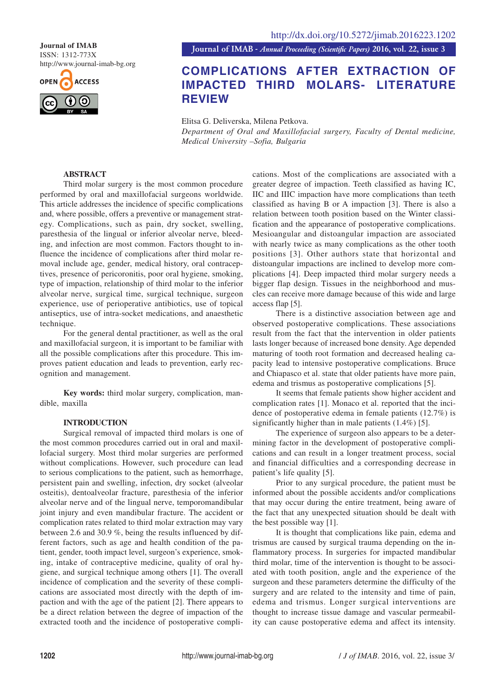ISSN: 1312-773X http://www.journal-imab-bg.org



**Journal of IMAB** *- Annual Proceeding (Scientific Papers)* **2016, vol. 22, issue 3 Journal of IMAB**

# **COMPLICATIONS AFTER EXTRACTION OF IMPACTED THIRD MOLARS- LITERATURE REVIEW**

Elitsa G. Deliverska, Milena Petkova. *Department of Oral and Maxillofacial surgery, Faculty of Dental medicine, Medical University –Sofia, Bulgaria*

## **ABSTRACT**

Third molar surgery is the most common procedure performed by oral and maxillofacial surgeons worldwide. This article addresses the incidence of specific complications and, where possible, offers a preventive or management strategy. Complications, such as pain, dry socket, swelling, paresthesia of the lingual or inferior alveolar nerve, bleeding, and infection are most common. Factors thought to influence the incidence of complications after third molar removal include age, gender, medical history, oral contraceptives, presence of pericoronitis, poor oral hygiene, smoking, type of impaction, relationship of third molar to the inferior alveolar nerve, surgical time, surgical technique, surgeon experience, use of perioperative antibiotics, use of topical antiseptics, use of intra-socket medications, and anaesthetic technique.

For the general dental practitioner, as well as the oral and maxillofacial surgeon, it is important to be familiar with all the possible complications after this procedure. This improves patient education and leads to prevention, early recognition and management.

**Key words:** third molar surgery, complication, mandible, maxilla

# **INTRODUCTION**

Surgical removal of impacted third molars is one of the most common procedures carried out in oral and maxillofacial surgery. Most third molar surgeries are performed without complications. However, such procedure can lead to serious complications to the patient, such as hemorrhage, persistent pain and swelling, infection, dry socket (alveolar osteitis), dentoalveolar fracture, paresthesia of the inferior alveolar nerve and of the lingual nerve, temporomandibular joint injury and even mandibular fracture. The accident or complication rates related to third molar extraction may vary between 2.6 and 30.9 %, being the results influenced by different factors, such as age and health condition of the patient, gender, tooth impact level, surgeon's experience, smoking, intake of contraceptive medicine, quality of oral hygiene, and surgical technique among others [1]. The overall incidence of complication and the severity of these complications are associated most directly with the depth of impaction and with the age of the patient [2]. There appears to be a direct relation between the degree of impaction of the extracted tooth and the incidence of postoperative complications. Most of the complications are associated with a greater degree of impaction. Teeth classified as having IC, IIC and IIIC impaction have more complications than teeth classified as having B or A impaction [3]. There is also a relation between tooth position based on the Winter classification and the appearance of postoperative complications. Mesioangular and distoangular impaction are associated with nearly twice as many complications as the other tooth positions [3]. Other authors state that horizontal and distoangular impactions are inclined to develop more complications [4]. Deep impacted third molar surgery needs a bigger flap design. Tissues in the neighborhood and muscles can receive more damage because of this wide and large access flap [5].

There is a distinctive association between age and observed postoperative complications. These associations result from the fact that the intervention in older patients lasts longer because of increased bone density. Age depended maturing of tooth root formation and decreased healing capacity lead to intensive postoperative complications. Bruce and Chiapasco et al. state that older patients have more pain, edema and trismus as postoperative complications [5].

It seems that female patients show higher accident and complication rates [1]. Monaco et al. reported that the incidence of postoperative edema in female patients (12.7%) is significantly higher than in male patients (1.4%) [5].

The experience of surgeon also appears to be a determining factor in the development of postoperative complications and can result in a longer treatment process, social and financial difficulties and a corresponding decrease in patient's life quality [5].

Prior to any surgical procedure, the patient must be informed about the possible accidents and/or complications that may occur during the entire treatment, being aware of the fact that any unexpected situation should be dealt with the best possible way [1].

It is thought that complications like pain, edema and trismus are caused by surgical trauma depending on the inflammatory process. In surgeries for impacted mandibular third molar, time of the intervention is thought to be associated with tooth position, angle and the experience of the surgeon and these parameters determine the difficulty of the surgery and are related to the intensity and time of pain, edema and trismus. Longer surgical interventions are thought to increase tissue damage and vascular permeability can cause postoperative edema and affect its intensity.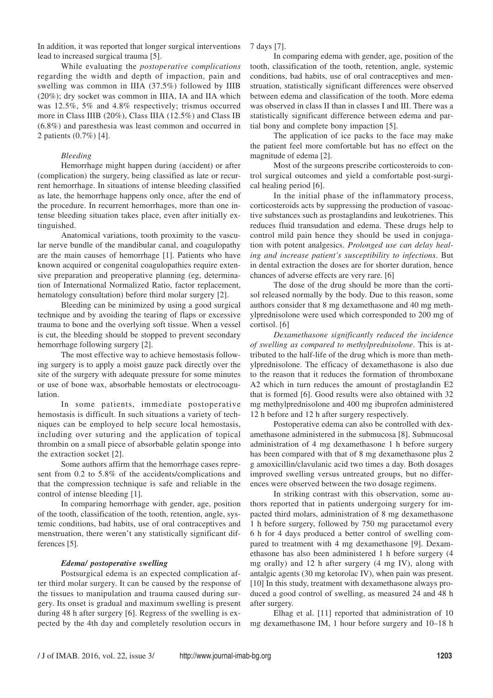In addition, it was reported that longer surgical interventions lead to increased surgical trauma [5].

While evaluating the *postoperative complications* regarding the width and depth of impaction, pain and swelling was common in IIIA (37.5%) followed by IIIB (20%); dry socket was common in IIIA, IA and IIA which was 12.5%, 5% and 4.8% respectively; trismus occurred more in Class IIIB (20%), Class IIIA (12.5%) and Class IB (6.8%) and paresthesia was least common and occurred in 2 patients (0.7%) [4].

### *Bleeding*

Hemorrhage might happen during (accident) or after (complication) the surgery, being classified as late or recurrent hemorrhage. In situations of intense bleeding classified as late, the hemorrhage happens only once, after the end of the procedure. In recurrent hemorrhages, more than one intense bleeding situation takes place, even after initially extinguished.

Anatomical variations, tooth proximity to the vascular nerve bundle of the mandibular canal, and coagulopathy are the main causes of hemorrhage [1]. Patients who have known acquired or congenital coagulopathies require extensive preparation and preoperative planning (eg, determination of International Normalized Ratio, factor replacement, hematology consultation) before third molar surgery [2].

Bleeding can be minimized by using a good surgical technique and by avoiding the tearing of flaps or excessive trauma to bone and the overlying soft tissue. When a vessel is cut, the bleeding should be stopped to prevent secondary hemorrhage following surgery [2].

The most effective way to achieve hemostasis following surgery is to apply a moist gauze pack directly over the site of the surgery with adequate pressure for some minutes or use of bone wax, absorbable hemostats or electrocoagulation.

In some patients, immediate postoperative hemostasis is difficult. In such situations a variety of techniques can be employed to help secure local hemostasis, including over suturing and the application of topical thrombin on a small piece of absorbable gelatin sponge into the extraction socket [2].

Some authors affirm that the hemorrhage cases represent from 0.2 to 5.8% of the accidents/complications and that the compression technique is safe and reliable in the control of intense bleeding [1].

In comparing hemorrhage with gender, age, position of the tooth, classification of the tooth, retention, angle, systemic conditions, bad habits, use of oral contraceptives and menstruation, there weren't any statistically significant differences [5].

#### *Edema/ postoperative swelling*

Postsurgical edema is an expected complication after third molar surgery. It can be caused by the response of the tissues to manipulation and trauma caused during surgery. Its onset is gradual and maximum swelling is present during 48 h after surgery [6]. Regress of the swelling is expected by the 4th day and completely resolution occurs in 7 days [7].

In comparing edema with gender, age, position of the tooth, classification of the tooth, retention, angle, systemic conditions, bad habits, use of oral contraceptives and menstruation, statistically significant differences were observed between edema and classification of the tooth. More edema was observed in class II than in classes I and III. There was a statistically significant difference between edema and partial bony and complete bony impaction [5].

The application of ice packs to the face may make the patient feel more comfortable but has no effect on the magnitude of edema [2].

Most of the surgeons prescribe corticosteroids to control surgical outcomes and yield a comfortable post-surgical healing period [6].

In the initial phase of the inflammatory process, corticosteroids acts by suppressing the production of vasoactive substances such as prostaglandins and leukotrienes. This reduces fluid transudation and edema. These drugs help to control mild pain hence they should be used in conjugation with potent analgesics. *Prolonged use can delay healing and increase patient's susceptibility to infections*. But in dental extraction the doses are for shorter duration, hence chances of adverse effects are very rare. [6]

The dose of the drug should be more than the cortisol released normally by the body. Due to this reason, some authors consider that 8 mg dexamethasone and 40 mg methylprednisolone were used which corresponded to 200 mg of cortisol. [6]

*Dexamethasone significantly reduced the incidence of swelling as compared to methylprednisolone*. This is attributed to the half-life of the drug which is more than methylprednisolone. The efficacy of dexamethasone is also due to the reason that it reduces the formation of thromboxane A2 which in turn reduces the amount of prostaglandin E2 that is formed [6]. Good results were also obtained with 32 mg methylprednisolone and 400 mg ibuprofen administered 12 h before and 12 h after surgery respectively.

Postoperative edema can also be controlled with dexamethasone administered in the submucosa [8]. Submucosal administration of 4 mg dexamethasone 1 h before surgery has been compared with that of 8 mg dexamethasone plus 2 g amoxicillin/clavulanic acid two times a day. Both dosages improved swelling versus untreated groups, but no differences were observed between the two dosage regimens.

In striking contrast with this observation, some authors reported that in patients undergoing surgery for impacted third molars, administration of 8 mg dexamethasone 1 h before surgery, followed by 750 mg paracetamol every 6 h for 4 days produced a better control of swelling compared to treatment with 4 mg dexamethasone [9]. Dexamethasone has also been administered 1 h before surgery (4 mg orally) and 12 h after surgery (4 mg IV), along with antalgic agents (30 mg ketorolac IV), when pain was present. [10] In this study, treatment with dexamethasone always produced a good control of swelling, as measured 24 and 48 h after surgery.

Elhag et al. [11] reported that administration of 10 mg dexamethasone IM, 1 hour before surgery and 10–18 h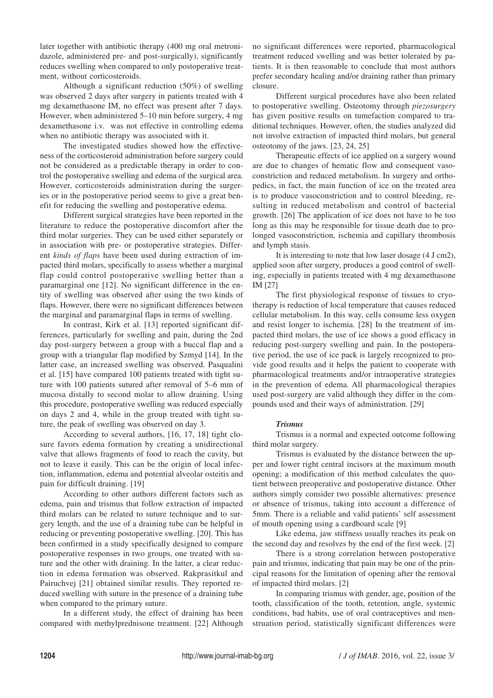later together with antibiotic therapy (400 mg oral metronidazole, administered pre- and post-surgically), significantly reduces swelling when compared to only postoperative treatment, without corticosteroids.

Although a significant reduction (50%) of swelling was observed 2 days after surgery in patients treated with 4 mg dexamethasone IM, no effect was present after 7 days. However, when administered 5–10 min before surgery, 4 mg dexamethasone i.v. was not effective in controlling edema when no antibiotic therapy was associated with it.

The investigated studies showed how the effectiveness of the corticosteroid administration before surgery could not be considered as a predictable therapy in order to control the postoperative swelling and edema of the surgical area. However, corticosteroids administration during the surgeries or in the postoperative period seems to give a great benefit for reducing the swelling and postoperative edema.

Different surgical strategies have been reported in the literature to reduce the postoperative discomfort after the third molar surgeries. They can be used either separately or in association with pre- or postoperative strategies. Different *kinds of flaps* have been used during extraction of impacted third molars, specifically to assess whether a marginal flap could control postoperative swelling better than a paramarginal one [12]. No significant difference in the entity of swelling was observed after using the two kinds of flaps. However, there were no significant differences between the marginal and paramarginal flaps in terms of swelling.

In contrast, Kirk et al. [13] reported significant differences, particularly for swelling and pain, during the 2nd day post-surgery between a group with a buccal flap and a group with a triangular flap modified by Szmyd [14]. In the latter case, an increased swelling was observed. Pasqualini et al. [15] have compared 100 patients treated with tight suture with 100 patients sutured after removal of 5–6 mm of mucosa distally to second molar to allow draining. Using this procedure, postoperative swelling was reduced especially on days 2 and 4, while in the group treated with tight suture, the peak of swelling was observed on day 3.

According to several authors, [16, 17, 18] tight closure favors edema formation by creating a unidirectional valve that allows fragments of food to reach the cavity, but not to leave it easily. This can be the origin of local infection, inflammation, edema and potential alveolar osteitis and pain for difficult draining. [19]

According to other authors different factors such as edema, pain and trismus that follow extraction of impacted third molars can be related to suture technique and to surgery length, and the use of a draining tube can be helpful in reducing or preventing postoperative swelling. [20]. This has been confirmed in a study specifically designed to compare postoperative responses in two groups, one treated with suture and the other with draining. In the latter, a clear reduction in edema formation was observed. Rakprasitkul and Pairuchvej [21] obtained similar results. They reported reduced swelling with suture in the presence of a draining tube when compared to the primary suture.

In a different study, the effect of draining has been compared with methylprednisone treatment. [22] Although

no significant differences were reported, pharmacological treatment reduced swelling and was better tolerated by patients. It is then reasonable to conclude that most authors prefer secondary healing and/or draining rather than primary closure.

Different surgical procedures have also been related to postoperative swelling. Osteotomy through *piezosurgery* has given positive results on tumefaction compared to traditional techniques. However, often, the studies analyzed did not involve extraction of impacted third molars, but general osteotomy of the jaws. [23, 24, 25]

Therapeutic effects of ice applied on a surgery wound are due to changes of hematic flow and consequent vasoconstriction and reduced metabolism. In surgery and orthopedics, in fact, the main function of ice on the treated area is to produce vasoconstriction and to control bleeding, resulting in reduced metabolism and control of bacterial growth. [26] The application of ice does not have to be too long as this may be responsible for tissue death due to prolonged vasoconstriction, ischemia and capillary thrombosis and lymph stasis.

It is interesting to note that low laser dosage (4 J cm2), applied soon after surgery, produces a good control of swelling, especially in patients treated with 4 mg dexamethasone IM [27]

The first physiological response of tissues to cryotherapy is reduction of local temperature that causes reduced cellular metabolism. In this way, cells consume less oxygen and resist longer to ischemia. [28] In the treatment of impacted third molars, the use of ice shows a good efficacy in reducing post-surgery swelling and pain. In the postoperative period, the use of ice pack is largely recognized to provide good results and it helps the patient to cooperate with pharmacological treatments and/or intraoperative strategies in the prevention of edema. All pharmacological therapies used post-surgery are valid although they differ in the compounds used and their ways of administration. [29]

## *Trismus*

Trismus is a normal and expected outcome following third molar surgery.

Trismus is evaluated by the distance between the upper and lower right central incisors at the maximum mouth opening; a modification of this method calculates the quotient between preoperative and postoperative distance. Other authors simply consider two possible alternatives: presence or absence of trismus, taking into account a difference of 5mm. There is a reliable and valid patients' self assessment of mouth opening using a cardboard scale [9]

Like edema, jaw stiffness usually reaches its peak on the second day and resolves by the end of the first week. [2]

There is a strong correlation between postoperative pain and trismus, indicating that pain may be one of the principal reasons for the limitation of opening after the removal of impacted third molars. [2]

In comparing trismus with gender, age, position of the tooth, classification of the tooth, retention, angle, systemic conditions, bad habits, use of oral contraceptives and menstruation period, statistically significant differences were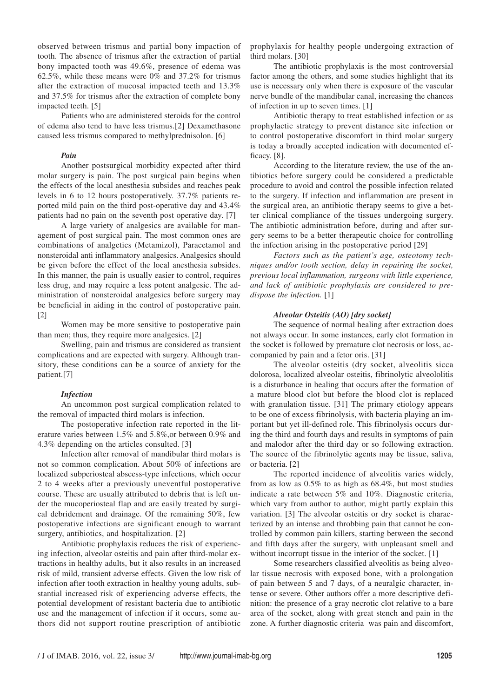observed between trismus and partial bony impaction of tooth. The absence of trismus after the extraction of partial bony impacted tooth was 49.6%, presence of edema was 62.5%, while these means were 0% and 37.2% for trismus after the extraction of mucosal impacted teeth and 13.3% and 37.5% for trismus after the extraction of complete bony impacted teeth. [5]

Patients who are administered steroids for the control of edema also tend to have less trismus.[2] Dexamethasone caused less trismus compared to methylprednisolon. [6]

#### *Pain*

Another postsurgical morbidity expected after third molar surgery is pain. The post surgical pain begins when the effects of the local anesthesia subsides and reaches peak levels in 6 to 12 hours postoperatively. 37.7% patients reported mild pain on the third post-operative day and 43.4% patients had no pain on the seventh post operative day. [7]

A large variety of analgesics are available for management of post surgical pain. The most common ones are combinations of analgetics (Metamizol), Paracetamol and nonsteroidal anti inflammatory analgesics. Analgesics should be given before the effect of the local anesthesia subsides. In this manner, the pain is usually easier to control, requires less drug, and may require a less potent analgesic. The administration of nonsteroidal analgesics before surgery may be beneficial in aiding in the control of postoperative pain. [2]

Women may be more sensitive to postoperative pain than men; thus, they require more analgesics. [2]

Swelling, pain and trismus are considered as transient complications and are expected with surgery. Although transitory, these conditions can be a source of anxiety for the patient.[7]

#### *Infection*

An uncommon post surgical complication related to the removal of impacted third molars is infection.

The postoperative infection rate reported in the literature varies between 1.5% and 5.8%,or between 0.9% and 4.3% depending on the articles consulted. [3]

Infection after removal of mandibular third molars is not so common complication. About 50% of infections are localized subperiosteal abscess-type infections, which occur 2 to 4 weeks after a previously uneventful postoperative course. These are usually attributed to debris that is left under the mucoperiosteal flap and are easily treated by surgical debridement and drainage. Of the remaining 50%, few postoperative infections are significant enough to warrant surgery, antibiotics, and hospitalization. [2]

Antibiotic prophylaxis reduces the risk of experiencing infection, alveolar osteitis and pain after third-molar extractions in healthy adults, but it also results in an increased risk of mild, transient adverse effects. Given the low risk of infection after tooth extraction in healthy young adults, substantial increased risk of experiencing adverse effects, the potential development of resistant bacteria due to antibiotic use and the management of infection if it occurs, some authors did not support routine prescription of antibiotic prophylaxis for healthy people undergoing extraction of third molars. [30]

The antibiotic prophylaxis is the most controversial factor among the others, and some studies highlight that its use is necessary only when there is exposure of the vascular nerve bundle of the mandibular canal, increasing the chances of infection in up to seven times. [1]

Antibiotic therapy to treat established infection or as prophylactic strategy to prevent distance site infection or to control postoperative discomfort in third molar surgery is today a broadly accepted indication with documented efficacy. [8].

According to the literature review, the use of the antibiotics before surgery could be considered a predictable procedure to avoid and control the possible infection related to the surgery. If infection and inflammation are present in the surgical area, an antibiotic therapy seems to give a better clinical compliance of the tissues undergoing surgery. The antibiotic administration before, during and after surgery seems to be a better therapeutic choice for controlling the infection arising in the postoperative period [29]

*Factors such as the patient's age, osteotomy techniques and/or tooth section, delay in repairing the socket, previous local inflammation, surgeons with little experience, and lack of antibiotic prophylaxis are considered to predispose the infection.* [1]

#### *Alveolar Osteitis (AO) [dry socket]*

The sequence of normal healing after extraction does not always occur. In some instances, early clot formation in the socket is followed by premature clot necrosis or loss, accompanied by pain and a fetor oris. [31]

The alveolar osteitis (dry socket, alveolitis sicca dolorosa, localized alveolar osteitis, fibrinolytic alveololitis is a disturbance in healing that occurs after the formation of a mature blood clot but before the blood clot is replaced with granulation tissue. [31] The primary etiology appears to be one of excess fibrinolysis, with bacteria playing an important but yet ill-defined role. This fibrinolysis occurs during the third and fourth days and results in symptoms of pain and malodor after the third day or so following extraction. The source of the fibrinolytic agents may be tissue, saliva, or bacteria. [2]

The reported incidence of alveolitis varies widely, from as low as 0.5% to as high as 68.4%, but most studies indicate a rate between 5% and 10%. Diagnostic criteria, which vary from author to author, might partly explain this variation. [3] The alveolar osteitis or dry socket is characterized by an intense and throbbing pain that cannot be controlled by common pain killers, starting between the second and fifth days after the surgery, with unpleasant smell and without incorrupt tissue in the interior of the socket. [1]

Some researchers classified alveolitis as being alveolar tissue necrosis with exposed bone, with a prolongation of pain between 5 and 7 days, of a neuralgic character, intense or severe. Other authors offer a more descriptive definition: the presence of a gray necrotic clot relative to a bare area of the socket, along with great stench and pain in the zone. A further diagnostic criteria was pain and discomfort,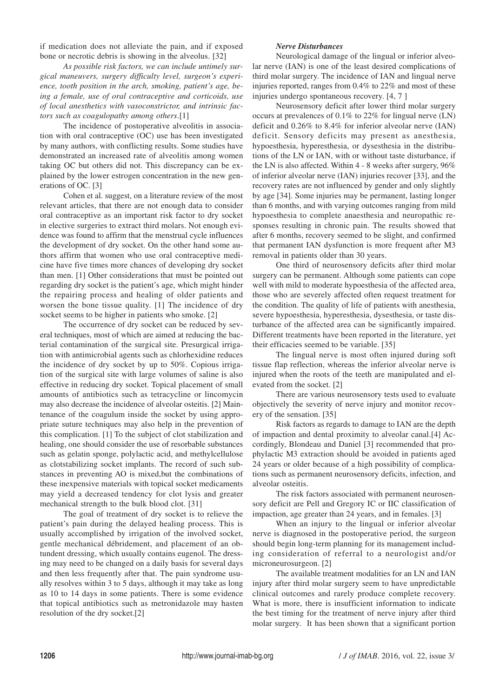if medication does not alleviate the pain, and if exposed bone or necrotic debris is showing in the alveolus. [32]

*As possible risk factors, we can include untimely surgical maneuvers, surgery difficulty level, surgeon's experience, tooth position in the arch, smoking, patient's age, being a female, use of oral contraceptive and corticoids, use of local anesthetics with vasoconstrictor, and intrinsic factors such as coagulopathy among others*.[1]

The incidence of postoperative alveolitis in association with oral contraceptive (OC) use has been investigated by many authors, with conflicting results. Some studies have demonstrated an increased rate of alveolitis among women taking OC but others did not. This discrepancy can be explained by the lower estrogen concentration in the new generations of OC. [3]

Cohen et al. suggest, on a literature review of the most relevant articles, that there are not enough data to consider oral contraceptive as an important risk factor to dry socket in elective surgeries to extract third molars. Not enough evidence was found to affirm that the menstrual cycle influences the development of dry socket. On the other hand some authors affirm that women who use oral contraceptive medicine have five times more chances of developing dry socket than men. [1] Other considerations that must be pointed out regarding dry socket is the patient's age, which might hinder the repairing process and healing of older patients and worsen the bone tissue quality. [1] The incidence of dry socket seems to be higher in patients who smoke. [2]

The occurrence of dry socket can be reduced by several techniques, most of which are aimed at reducing the bacterial contamination of the surgical site. Presurgical irrigation with antimicrobial agents such as chlorhexidine reduces the incidence of dry socket by up to 50%. Copious irrigation of the surgical site with large volumes of saline is also effective in reducing dry socket. Topical placement of small amounts of antibiotics such as tetracycline or lincomycin may also decrease the incidence of alveolar osteitis. [2] Maintenance of the coagulum inside the socket by using appropriate suture techniques may also help in the prevention of this complication. [1] To the subject of clot stabilization and healing, one should consider the use of resorbable substances such as gelatin sponge, polylactic acid, and methylcellulose as clotstabilizing socket implants. The record of such substances in preventing AO is mixed,but the combinations of these inexpensive materials with topical socket medicaments may yield a decreased tendency for clot lysis and greater mechanical strength to the bulk blood clot. [31]

The goal of treatment of dry socket is to relieve the patient's pain during the delayed healing process. This is usually accomplished by irrigation of the involved socket, gentle mechanical débridement, and placement of an obtundent dressing, which usually contains eugenol. The dressing may need to be changed on a daily basis for several days and then less frequently after that. The pain syndrome usually resolves within 3 to 5 days, although it may take as long as 10 to 14 days in some patients. There is some evidence that topical antibiotics such as metronidazole may hasten resolution of the dry socket.[2]

## *Nerve Disturbances*

Neurological damage of the lingual or inferior alveolar nerve (IAN) is one of the least desired complications of third molar surgery. The incidence of IAN and lingual nerve injuries reported, ranges from 0.4% to 22% and most of these injuries undergo spontaneous recovery. [4, 7 ]

Neurosensory deficit after lower third molar surgery occurs at prevalences of 0.1% to 22% for lingual nerve (LN) deficit and 0.26% to 8.4% for inferior alveolar nerve (IAN) deficit. Sensory deficits may present as anesthesia, hypoesthesia, hyperesthesia, or dysesthesia in the distributions of the LN or IAN, with or without taste disturbance, if the LN is also affected. Within 4 - 8 weeks after surgery, 96% of inferior alveolar nerve (IAN) injuries recover [33], and the recovery rates are not influenced by gender and only slightly by age [34]. Some injuries may be permanent, lasting longer than 6 months, and with varying outcomes ranging from mild hypoesthesia to complete anaesthesia and neuropathic responses resulting in chronic pain. The results showed that after 6 months, recovery seemed to be slight, and confirmed that permanent IAN dysfunction is more frequent after M3 removal in patients older than 30 years.

One third of neurosensory deficits after third molar surgery can be permanent. Although some patients can cope well with mild to moderate hypoesthesia of the affected area, those who are severely affected often request treatment for the condition. The quality of life of patients with anesthesia, severe hypoesthesia, hyperesthesia, dysesthesia, or taste disturbance of the affected area can be significantly impaired. Different treatments have been reported in the literature, yet their efficacies seemed to be variable. [35]

The lingual nerve is most often injured during soft tissue flap reflection, whereas the inferior alveolar nerve is injured when the roots of the teeth are manipulated and elevated from the socket. [2]

There are various neurosensory tests used to evaluate objectively the severity of nerve injury and monitor recovery of the sensation. [35]

Risk factors as regards to damage to IAN are the depth of impaction and dental proximity to alveolar canal.[4] Accordingly, Blondeau and Daniel [3] recommended that prophylactic M3 extraction should be avoided in patients aged 24 years or older because of a high possibility of complications such as permanent neurosensory deficits, infection, and alveolar osteitis.

The risk factors associated with permanent neurosensory deficit are Pell and Gregory IC or IIC classification of impaction, age greater than 24 years, and in females. [3]

When an injury to the lingual or inferior alveolar nerve is diagnosed in the postoperative period, the surgeon should begin long-term planning for its management including consideration of referral to a neurologist and/or microneurosurgeon. [2]

The available treatment modalities for an LN and IAN injury after third molar surgery seem to have unpredictable clinical outcomes and rarely produce complete recovery. What is more, there is insufficient information to indicate the best timing for the treatment of nerve injury after third molar surgery. It has been shown that a significant portion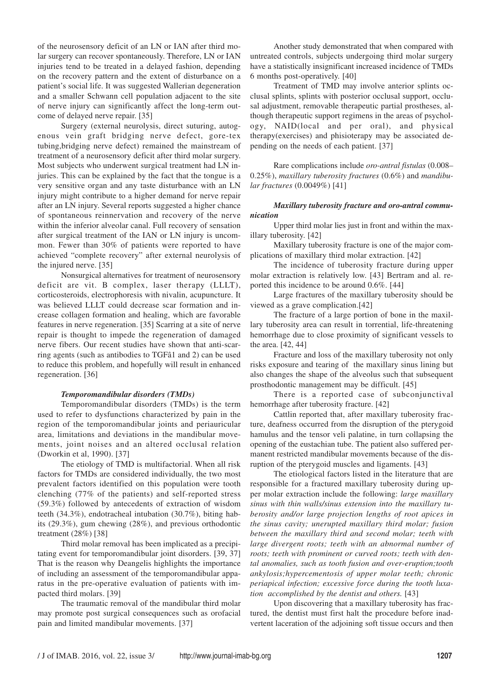of the neurosensory deficit of an LN or IAN after third molar surgery can recover spontaneously. Therefore, LN or IAN injuries tend to be treated in a delayed fashion, depending on the recovery pattern and the extent of disturbance on a patient's social life. It was suggested Wallerian degeneration and a smaller Schwann cell population adjacent to the site of nerve injury can significantly affect the long-term outcome of delayed nerve repair. [35]

Surgery (external neurolysis, direct suturing, autogenous vein graft bridging nerve defect, gore-tex tubing,bridging nerve defect) remained the mainstream of treatment of a neurosensory deficit after third molar surgery. Most subjects who underwent surgical treatment had LN injuries. This can be explained by the fact that the tongue is a very sensitive organ and any taste disturbance with an LN injury might contribute to a higher demand for nerve repair after an LN injury. Several reports suggested a higher chance of spontaneous reinnervation and recovery of the nerve within the inferior alveolar canal. Full recovery of sensation after surgical treatment of the IAN or LN injury is uncommon. Fewer than 30% of patients were reported to have achieved "complete recovery" after external neurolysis of the injured nerve. [35]

Nonsurgical alternatives for treatment of neurosensory deficit are vit. B complex, laser therapy (LLLT), corticosteroids, electrophoresis with nivalin, acupuncture. It was believed LLLT could decrease scar formation and increase collagen formation and healing, which are favorable features in nerve regeneration. [35] Scarring at a site of nerve repair is thought to impede the regeneration of damaged nerve fibers. Our recent studies have shown that anti-scarring agents (such as antibodies to TGFâ1 and 2) can be used to reduce this problem, and hopefully will result in enhanced regeneration. [36]

#### *Temporomandibular disorders (TMDs)*

Temporomandibular disorders (TMDs) is the term used to refer to dysfunctions characterized by pain in the region of the temporomandibular joints and periauricular area, limitations and deviations in the mandibular movements, joint noises and an altered occlusal relation (Dworkin et al, 1990). [37]

The etiology of TMD is multifactorial. When all risk factors for TMDs are considered individually, the two most prevalent factors identified on this population were tooth clenching (77% of the patients) and self-reported stress (59.3%) followed by antecedents of extraction of wisdom teeth (34.3%), endotracheal intubation (30.7%), biting habits (29.3%), gum chewing (28%), and previous orthodontic treatment (28%) [38]

Third molar removal has been implicated as a precipitating event for temporomandibular joint disorders. [39, 37] That is the reason why Deangelis highlights the importance of including an assessment of the temporomandibular apparatus in the pre-operative evaluation of patients with impacted third molars. [39]

The traumatic removal of the mandibular third molar may promote post surgical consequences such as orofacial pain and limited mandibular movements. [37]

Another study demonstrated that when compared with untreated controls, subjects undergoing third molar surgery have a statistically insignificant increased incidence of TMDs 6 months post-operatively. [40]

Treatment of TMD may involve anterior splints occlusal splints, splints with posterior occlusal support, occlusal adjustment, removable therapeutic partial prostheses, although therapeutic support regimens in the areas of psychology, NAID(local and per oral), and physical therapy(exercises) and phisioterapy may be associated depending on the needs of each patient. [37]

Rare complications include *oro-antral fistulas* (0.008– 0.25%), *maxillary tuberosity fractures* (0.6%) and *mandibular fractures* (0.0049%) [41]

#### *Maxillary tuberosity fracture and oro-antral communication*

Upper third molar lies just in front and within the maxillary tuberosity. [42]

Maxillary tuberosity fracture is one of the major complications of maxillary third molar extraction. [42]

The incidence of tuberosity fracture during upper molar extraction is relatively low. [43] Bertram and al. reported this incidence to be around 0.6%. [44]

Large fractures of the maxillary tuberosity should be viewed as a grave complication.[42]

The fracture of a large portion of bone in the maxillary tuberosity area can result in torrential, life-threatening hemorrhage due to close proximity of significant vessels to the area. [42, 44]

Fracture and loss of the maxillary tuberosity not only risks exposure and tearing of the maxillary sinus lining but also changes the shape of the alveolus such that subsequent prosthodontic management may be difficult. [45]

There is a reported case of subconjunctival hemorrhage after tuberosity fracture. [42]

Cattlin reported that, after maxillary tuberosity fracture, deafness occurred from the disruption of the pterygoid hamulus and the tensor veli palatine, in turn collapsing the opening of the eustachian tube. The patient also suffered permanent restricted mandibular movements because of the disruption of the pterygoid muscles and ligaments. [43]

The etiological factors listed in the literature that are responsible for a fractured maxillary tuberosity during upper molar extraction include the following: *large maxillary sinus with thin walls/sinus extension into the maxillary tuberosity and/or large projection lengths of root apices in the sinus cavity; unerupted maxillary third molar; fusion between the maxillary third and second molar; teeth with large divergent roots; teeth with an abnormal number of roots; teeth with prominent or curved roots; teeth with dental anomalies, such as tooth fusion and over-eruption;tooth ankylosis;hypercementosis of upper molar teeth; chronic periapical infection; excessive force during the tooth luxation accomplished by the dentist and others.* [43]

Upon discovering that a maxillary tuberosity has fractured, the dentist must first halt the procedure before inadvertent laceration of the adjoining soft tissue occurs and then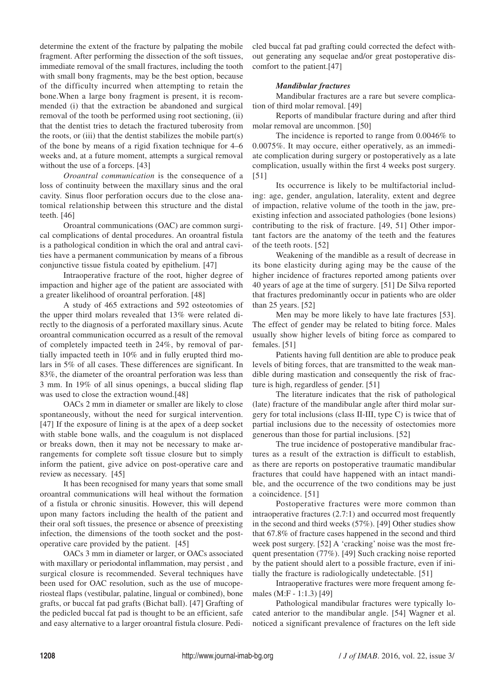determine the extent of the fracture by palpating the mobile fragment. After performing the dissection of the soft tissues, immediate removal of the small fractures, including the tooth with small bony fragments, may be the best option, because of the difficulty incurred when attempting to retain the bone.When a large bony fragment is present, it is recommended (i) that the extraction be abandoned and surgical removal of the tooth be performed using root sectioning, (ii) that the dentist tries to detach the fractured tuberosity from the roots, or (iii) that the dentist stabilizes the mobile part $(s)$ of the bone by means of a rigid fixation technique for 4–6 weeks and, at a future moment, attempts a surgical removal without the use of a forceps. [43]

*Oroantral communication* is the consequence of a loss of continuity between the maxillary sinus and the oral cavity. Sinus floor perforation occurs due to the close anatomical relationship between this structure and the distal teeth. [46]

Oroantral communications (OAC) are common surgical complications of dental procedures. An oroantral fistula is a pathological condition in which the oral and antral cavities have a permanent communication by means of a fibrous conjunctive tissue fistula coated by epithelium. [47]

Intraoperative fracture of the root, higher degree of impaction and higher age of the patient are associated with a greater likelihood of oroantral perforation. [48]

A study of 465 extractions and 592 osteotomies of the upper third molars revealed that 13% were related directly to the diagnosis of a perforated maxillary sinus. Acute oroantral communication occurred as a result of the removal of completely impacted teeth in 24%, by removal of partially impacted teeth in 10% and in fully erupted third molars in 5% of all cases. These differences are significant. In 83%, the diameter of the oroantral perforation was less than 3 mm. In 19% of all sinus openings, a buccal sliding flap was used to close the extraction wound.[48]

OACs 2 mm in diameter or smaller are likely to close spontaneously, without the need for surgical intervention. [47] If the exposure of lining is at the apex of a deep socket with stable bone walls, and the coagulum is not displaced or breaks down, then it may not be necessary to make arrangements for complete soft tissue closure but to simply inform the patient, give advice on post-operative care and review as necessary. [45]

It has been recognised for many years that some small oroantral communications will heal without the formation of a fistula or chronic sinusitis. However, this will depend upon many factors including the health of the patient and their oral soft tissues, the presence or absence of preexisting infection, the dimensions of the tooth socket and the postoperative care provided by the patient. [45]

OACs 3 mm in diameter or larger, or OACs associated with maxillary or periodontal inflammation, may persist , and surgical closure is recommended. Several techniques have been used for OAC resolution, such as the use of mucoperiosteal flaps (vestibular, palatine, lingual or combined), bone grafts, or buccal fat pad grafts (Bichat ball). [47] Grafting of the pedicled buccal fat pad is thought to be an efficient, safe and easy alternative to a larger oroantral fistula closure. Pedi-

cled buccal fat pad grafting could corrected the defect without generating any sequelae and/or great postoperative discomfort to the patient.[47]

# *Mandibular fractures*

Mandibular fractures are a rare but severe complication of third molar removal. [49]

Reports of mandibular fracture during and after third molar removal are uncommon. [50]

The incidence is reported to range from 0.0046% to 0.0075%. It may occure, either operatively, as an immediate complication during surgery or postoperatively as a late complication, usually within the first 4 weeks post surgery. [51]

Its occurrence is likely to be multifactorial including: age, gender, angulation, laterality, extent and degree of impaction, relative volume of the tooth in the jaw, preexisting infection and associated pathologies (bone lesions) contributing to the risk of fracture. [49, 51] Other important factors are the anatomy of the teeth and the features of the teeth roots. [52]

Weakening of the mandible as a result of decrease in its bone elasticity during aging may be the cause of the higher incidence of fractures reported among patients over 40 years of age at the time of surgery. [51] De Silva reported that fractures predominantly occur in patients who are older than 25 years. [52]

Men may be more likely to have late fractures [53]. The effect of gender may be related to biting force. Males usually show higher levels of biting force as compared to females. [51]

Patients having full dentition are able to produce peak levels of biting forces, that are transmitted to the weak mandible during mastication and consequently the risk of fracture is high, regardless of gender. [51]

The literature indicates that the risk of pathological (late) fracture of the mandibular angle after third molar surgery for total inclusions (class II-III, type C) is twice that of partial inclusions due to the necessity of ostectomies more generous than those for partial inclusions. [52]

The true incidence of postoperative mandibular fractures as a result of the extraction is difficult to establish, as there are reports on postoperative traumatic mandibular fractures that could have happened with an intact mandible, and the occurrence of the two conditions may be just a coincidence. [51]

Postoperative fractures were more common than intraoperative fractures (2.7:1) and occurred most frequently in the second and third weeks (57%). [49] Other studies show that 67.8% of fracture cases happened in the second and third week post surgery. [52] A 'cracking' noise was the most frequent presentation (77%). [49] Such cracking noise reported by the patient should alert to a possible fracture, even if initially the fracture is radiologically undetectable. [51]

Intraoperative fractures were more frequent among females (M:F - 1:1.3) [49]

Pathological mandibular fractures were typically located anterior to the mandibular angle. [54] Wagner et al. noticed a significant prevalence of fractures on the left side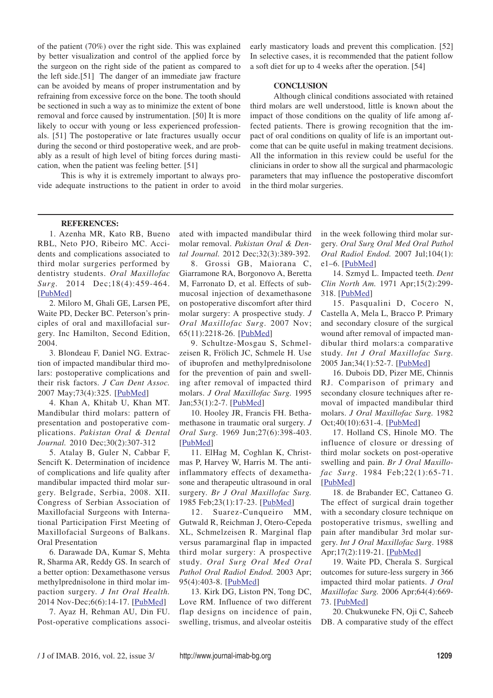of the patient (70%) over the right side. This was explained by better visualization and control of the applied force by the surgeon on the right side of the patient as compared to the left side.[51] The danger of an immediate jaw fracture can be avoided by means of proper instrumentation and by refraining from excessive force on the bone. The tooth should be sectioned in such a way as to minimize the extent of bone removal and force caused by instrumentation. [50] It is more likely to occur with young or less experienced professionals. [51] The postoperative or late fractures usually occur during the second or third postoperative week, and are probably as a result of high level of biting forces during mastication, when the patient was feeling better. [51]

This is why it is extremely important to always provide adequate instructions to the patient in order to avoid early masticatory loads and prevent this complication. [52] In selective cases, it is recommended that the patient follow a soft diet for up to 4 weeks after the operation. [54]

## **CONCLUSION**

Although clinical conditions associated with retained third molars are well understood, little is known about the impact of those conditions on the quality of life among affected patients. There is growing recognition that the impact of oral conditions on quality of life is an important outcome that can be quite useful in making treatment decisions. All the information in this review could be useful for the clinicians in order to show all the surgical and pharmacologic parameters that may influence the postoperative discomfort in the third molar surgeries.

#### **REFERENCES:**

1. Azenha MR, Kato RB, Bueno RBL, Neto PJO, Ribeiro MC. Accidents and complications associated to third molar surgeries performed by dentistry students. *Oral Maxillofac Surg.* 2014 Dec;18(4):459-464. [PubMed]

2. Miloro M, Ghali GE, Larsen PE, Waite PD, Decker BC. Peterson's principles of oral and maxillofacial surgery. Inc Hamilton, Second Edition, 2004.

3. Blondeau F, Daniel NG. Extraction of impacted mandibular third molars: postoperative complications and their risk factors. *J Can Dent Assoc.* 2007 May;73(4):325. [PubMed]

4. Khan A, Khitab U, Khan MT. Mandibular third molars: pattern of presentation and postoperative complications. *Pakistan Oral & Dental Journal.* 2010 Dec;30(2):307-312

5. Atalay B, Guler N, Cabbar F, Sencift K. Determination of incidence of complications and life quality after mandibular impacted third molar surgery. Belgrade, Serbia, 2008. XII. Congress of Serbian Association of Maxillofacial Surgeons with International Participation First Meeting of Maxillofacial Surgeons of Balkans. Oral Presentation

6. Darawade DA, Kumar S, Mehta R, Sharma AR, Reddy GS. In search of a better option: Dexamethasone versus methylprednisolone in third molar impaction surgery. *J Int Oral Health.* 2014 Nov-Dec;6(6):14-17. [PubMed]

7. Ayaz H, Rehman AU, Din FU. Post-operative complications associated with impacted mandibular third molar removal. *Pakistan Oral & Dental Journal.* 2012 Dec;32(3):389-392.

8. Grossi GB, Maiorana C, Giarramone RA, Borgonovo A, Beretta M, Farronato D, et al. Effects of submucosal injection of dexamethasone on postoperative discomfort after third molar surgery: A prospective study. *J Oral Maxillofac Surg.* 2007 Nov; 65(11):2218-26. [PubMed]

9. Schultze-Mosgau S, Schmelzeisen R, Frölich JC, Schmele H. Use of ibuprofen and methylprednisolone for the prevention of pain and swelling after removal of impacted third molars. *J Oral Maxillofac Surg.* 1995 Jan;53(1):2-7. [PubMed]

10. Hooley JR, Francis FH. Bethamethasone in traumatic oral surgery. *J Oral Surg.* 1969 Jun;27(6):398-403. [PubMed]

11. ElHag M, Coghlan K, Christmas P, Harvey W, Harris M. The antiinflammatory effects of dexamethasone and therapeutic ultrasound in oral surgery. *Br J Oral Maxillofac Surg.* 1985 Feb;23(1):17-23. [PubMed]

12. Suarez-Cunqueiro MM, Gutwald R, Reichman J, Otero-Cepeda XL, Schmelzeisen R. Marginal flap versus paramarginal flap in impacted third molar surgery: A prospective study. *Oral Surg Oral Med Oral Pathol Oral Radiol Endod.* 2003 Apr; 95(4):403-8. [PubMed]

13. Kirk DG, Liston PN, Tong DC, Love RM. Influence of two different flap designs on incidence of pain, swelling, trismus, and alveolar osteitis in the week following third molar surgery. *Oral Surg Oral Med Oral Pathol Oral Radiol Endod.* 2007 Jul;104(1): e1–6.  $[PubMed]$ 

14. Szmyd L. Impacted teeth. *Dent Clin North Am.* 1971 Apr;15(2):299- 318. [PubMed]

15. Pasqualini D, Cocero N, Castella A, Mela L, Bracco P. Primary and secondary closure of the surgical wound after removal of impacted mandibular third molars:a comparative study. *Int J Oral Maxillofac Surg.* 2005 Jan;34(1):52-7. [PubMed]

16. Dubois DD, Pizer ME, Chinnis RJ. Comparison of primary and secondany closure techniques after removal of impacted mandibular third molars. *J Oral Maxillofac Surg.* 1982 Oct;40(10):631-4. [PubMed]

17. Holland CS, Hinole MO. The influence of closure or dressing of third molar sockets on post-operative swelling and pain. *Br J Oral Maxillofac Surg.* 1984 Feb;22(1):65-71. [PubMed]

18. de Brabander EC, Cattaneo G. The effect of surgical drain together with a secondary closure technique on postoperative trismus, swelling and pain after mandibular 3rd molar surgery. *Int J Oral Maxillofac Surg*. 1988 Apr;17(2):119-21. [PubMed]

19. Waite PD, Cherala S. Surgical outcomes for suture-less surgery in 366 impacted third molar patients. *J Oral Maxillofac Surg.* 2006 Apr;64(4):669- 73. [PubMed]

20. Chukwuneke FN, Oji C, Saheeb DB. A comparative study of the effect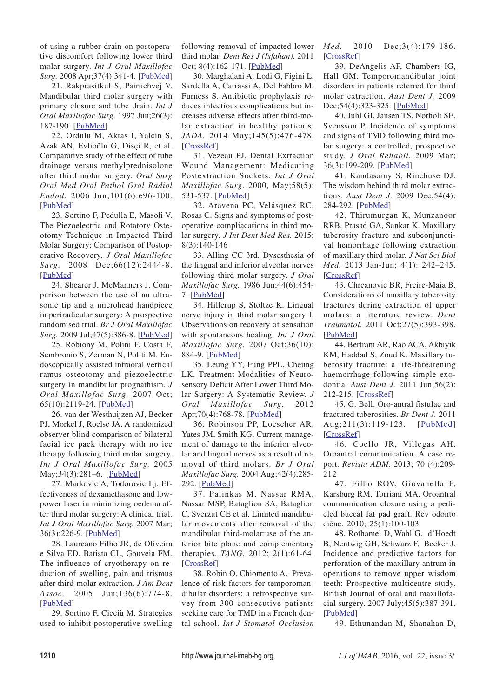of using a rubber drain on postoperative discomfort following lower third molar surgery. *Int J Oral Maxillofac Surg.* 2008 Apr;37(4):341-4. [PubMed]

21. Rakprasitkul S, Pairuchvej V. Mandibular third molar surgery with primary closure and tube drain. *Int J Oral Maxillofac Surg.* 1997 Jun;26(3): 187-190. [PubMed]

22. Ordulu M, Aktas I, Yalcin S, Azak AN, Evlioðlu G, Disçi R, et al. Comparative study of the effect of tube drainage versus methylprednisolone after third molar surgery. *Oral Surg Oral Med Oral Pathol Oral Radiol Endod.* 2006 Jun;101(6):e96-100. [PubMed]

23. Sortino F, Pedulla E, Masoli V. The Piezoelectric and Rotatory Osteotomy Technique in Impacted Third Molar Surgery: Comparison of Postoperative Recovery. *J Oral Maxillofac Surg.* 2008 Dec;66(12):2444-8. [PubMed]

24. Shearer J, McManners J. Comparison between the use of an ultrasonic tip and a microhead handpiece in periradicular surgery: A prospective randomised trial. *Br J Oral Maxillofac Surg.* 2009 Jul;47(5):386-8. [PubMed]

25. Robiony M, Polini F, Costa F, Sembronio S, Zerman N, Politi M. Endoscopically assisted intraoral vertical ramus osteotomy and piezoelectric surgery in mandibular prognathism. *J Oral Maxillofac Surg.* 2007 Oct; 65(10):2119-24. [PubMed]

26. van der Westhuijzen AJ, Becker PJ, Morkel J, Roelse JA. A randomized observer blind comparison of bilateral facial ice pack therapy with no ice therapy following third molar surgery. *Int J Oral Maxillofac Surg.* 2005 May;34(3):281–6. [PubMed]

27. Markovic A, Todorovic Lj. Effectiveness of dexamethasone and lowpower laser in minimizing oedema after third molar surgery: A clinical trial. *Int J Oral Maxillofac Surg.* 2007 Mar; 36(3):226-9. [PubMed]

28. Laureano Filho JR, de Oliveira e Silva ED, Batista CL, Gouveia FM. The influence of cryotherapy on reduction of swelling, pain and trismus after third-molar extraction. *J Am Dent Assoc.* 2005 Jun;136(6):774-8. [PubMed]

29. Sortino F, Cicciù M. Strategies used to inhibit postoperative swelling following removal of impacted lower third molar. *Dent Res J (Isfahan).* 2011 Oct; 8(4):162-171. [PubMed]

30. Marghalani A, Lodi G, Figini L, Sardella A, Carrassi A, Del Fabbro M, Furness S. Antibiotic prophylaxis reduces infectious complications but increases adverse effects after third-molar extraction in healthy patients. *JADA.* 2014 May;145(5):476-478. [CrossRef]

31. Vezeau PJ. Dental Extraction Wound Management: Medicating Postextraction Sockets. *Int J Oral Maxillofac Surg*. 2000, May;58(5): 531-537. [PubMed]

32. Aravena PC, Velásquez RC, Rosas C. Signs and symptoms of postoperative compliacations in third molar surgery*. J Int Dent Med Res.* 2015; 8(3):140-146

33. Alling CC 3rd. Dysesthesia of the lingual and inferior alveolar nerves following third molar surgery. *J Oral Maxillofac Surg.* 1986 Jun;44(6):454- 7. [PubMed]

34. Hillerup S, Stoltze K. Lingual nerve injury in third molar surgery I. Observations on recovery of sensation with spontaneous healing. *Int J Oral Maxillofac Surg.* 2007 Oct;36(10): 884-9. [PubMed]

35. Leung YY, Fung PPL, Cheung LK. Treatment Modalities of Neurosensory Deficit After Lower Third Molar Surgery: A Systematic Review. *J Oral Maxillofac Surg.* 2012 Apr;70(4):768-78. [PubMed]

36. Robinson PP, Loescher AR, Yates JM, Smith KG. Current management of damage to the inferior alveolar and lingual nerves as a result of removal of third molars. *Br J Oral Maxillofac Surg.* 2004 Aug;42(4),285- 292. [PubMed]

37. Palinkas M, Nassar RMA, Nassar MSP, Bataglion SA, Bataglion C, Sverzut CE et al. Limited mandibular movements after removal of the mandibular third-molar:use of the anterior bite plane and complementary therapies. *TANG.* 2012; 2(1):61-64. [CrossRef]

38. Robin O, Chiomento A. Prevalence of risk factors for temporomandibular disorders: a retrospective survey from 300 consecutive patients seeking care for TMD in a French dental school. *Int J Stomatol Occlusion* *Med.* 2010 Dec;3(4):179-186. [CrossRef]

39. DeAngelis AF, Chambers IG, Hall GM. Temporomandibular joint disorders in patients referred for third molar extraction. *Aust Dent J.* 2009 Dec;54(4):323-325. [PubMed]

40. Juhl GI, Jansen TS, Norholt SE, Svensson P. Incidence of symptoms and signs of TMD following third molar surgery: a controlled, prospective study. *J Oral Rehabil.* 2009 Mar; 36(3):199-209. [PubMed]

41. Kandasamy S, Rinchuse DJ. The wisdom behind third molar extractions. *Aust Dent J.* 2009 Dec;54(4): 284-292. [PubMed]

42. Thirumurgan K, Munzanoor RRB, Prasad GA, Sankar K. Maxillary tuberosity fracture and subconjunctival hemorrhage following extraction of maxillary third molar*. J Nat Sci Biol Med.* 2013 Jan-Jun; 4(1): 242–245. [CrossRef]

43. Chrcanovic BR, Freire-Maia B. Considerations of maxillary tuberosity fractures during extraction of upper molars: a literature review. *Dent Traumatol.* 2011 Oct;27(5):393-398. [PubMed]

44. Bertram AR, Rao ACA, Akbiyik KM, Haddad S, Zoud K. Maxillary tuberosity fracture: a life-threatening haemorrhage following simple exodontia. *Aust Dent J.* 2011 Jun;56(2): 212-215. [CrossRef]

45. G. Bell. Oro-antral fistulae and fractured tuberosities. *Br Dent J.* 2011 Aug;211(3):119-123. [PubMed] [CrossRef]

46. Coello JR, Villegas AH. Oroantral communication. A case report. *Revista ADM*. 2013; 70 (4):209- 212

47. Filho ROV, Giovanella F, Karsburg RM, Torriani MA. Oroantral communication closure using a pedicled buccal fat pad graft. Rev odonto ciênc. 2010; 25(1):100-103

48. Rothamel D, Wahl G, d'Hoedt B, Nentwig GH, Schwarz F, Becker J. Incidence and predictive factors for perforation of the maxillary antrum in operations to remove upper wisdom teeth: Prospective multicentre study. British Journal of oral and maxillofacial surgery. 2007 July;45(5):387-391. [PubMed]

49. Ethunandan M, Shanahan D,